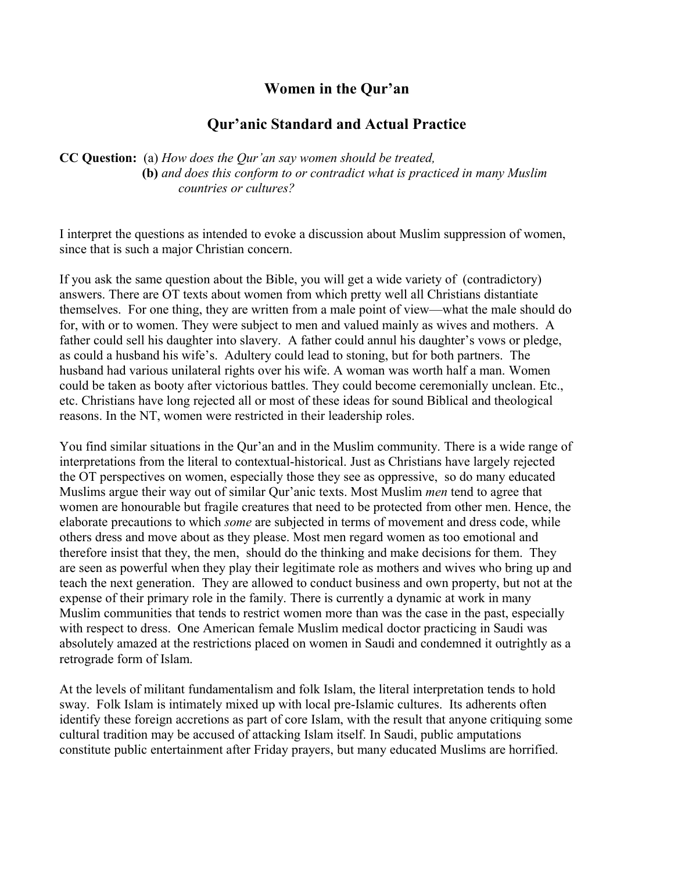# **Women in the Qur'an**

# **Qur'anic Standard and Actual Practice**

**CC Question:** (a) *How does the Qur'an say women should be treated,*  **(b)** *and does this conform to or contradict what is practiced in many Muslim countries or cultures?*

I interpret the questions as intended to evoke a discussion about Muslim suppression of women, since that is such a major Christian concern.

If you ask the same question about the Bible, you will get a wide variety of (contradictory) answers. There are OT texts about women from which pretty well all Christians distantiate themselves. For one thing, they are written from a male point of view—what the male should do for, with or to women. They were subject to men and valued mainly as wives and mothers. A father could sell his daughter into slavery. A father could annul his daughter's vows or pledge, as could a husband his wife's. Adultery could lead to stoning, but for both partners. The husband had various unilateral rights over his wife. A woman was worth half a man. Women could be taken as booty after victorious battles. They could become ceremonially unclean. Etc., etc. Christians have long rejected all or most of these ideas for sound Biblical and theological reasons. In the NT, women were restricted in their leadership roles.

You find similar situations in the Qur'an and in the Muslim community. There is a wide range of interpretations from the literal to contextual-historical. Just as Christians have largely rejected the OT perspectives on women, especially those they see as oppressive, so do many educated Muslims argue their way out of similar Qur'anic texts. Most Muslim *men* tend to agree that women are honourable but fragile creatures that need to be protected from other men. Hence, the elaborate precautions to which *some* are subjected in terms of movement and dress code, while others dress and move about as they please. Most men regard women as too emotional and therefore insist that they, the men, should do the thinking and make decisions for them. They are seen as powerful when they play their legitimate role as mothers and wives who bring up and teach the next generation. They are allowed to conduct business and own property, but not at the expense of their primary role in the family. There is currently a dynamic at work in many Muslim communities that tends to restrict women more than was the case in the past, especially with respect to dress. One American female Muslim medical doctor practicing in Saudi was absolutely amazed at the restrictions placed on women in Saudi and condemned it outrightly as a retrograde form of Islam.

At the levels of militant fundamentalism and folk Islam, the literal interpretation tends to hold sway. Folk Islam is intimately mixed up with local pre-Islamic cultures. Its adherents often identify these foreign accretions as part of core Islam, with the result that anyone critiquing some cultural tradition may be accused of attacking Islam itself. In Saudi, public amputations constitute public entertainment after Friday prayers, but many educated Muslims are horrified.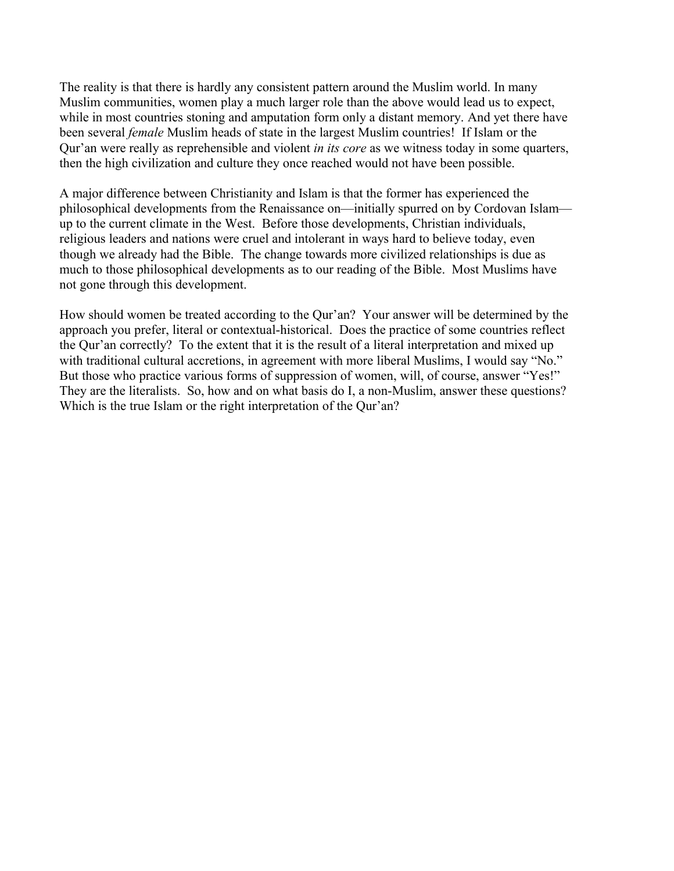The reality is that there is hardly any consistent pattern around the Muslim world. In many Muslim communities, women play a much larger role than the above would lead us to expect, while in most countries stoning and amputation form only a distant memory. And yet there have been several *female* Muslim heads of state in the largest Muslim countries! If Islam or the Qur'an were really as reprehensible and violent *in its core* as we witness today in some quarters, then the high civilization and culture they once reached would not have been possible.

A major difference between Christianity and Islam is that the former has experienced the philosophical developments from the Renaissance on—initially spurred on by Cordovan Islam up to the current climate in the West. Before those developments, Christian individuals, religious leaders and nations were cruel and intolerant in ways hard to believe today, even though we already had the Bible. The change towards more civilized relationships is due as much to those philosophical developments as to our reading of the Bible. Most Muslims have not gone through this development.

How should women be treated according to the Qur'an? Your answer will be determined by the approach you prefer, literal or contextual-historical. Does the practice of some countries reflect the Qur'an correctly? To the extent that it is the result of a literal interpretation and mixed up with traditional cultural accretions, in agreement with more liberal Muslims, I would say "No." But those who practice various forms of suppression of women, will, of course, answer "Yes!" They are the literalists. So, how and on what basis do I, a non-Muslim, answer these questions? Which is the true Islam or the right interpretation of the Our'an?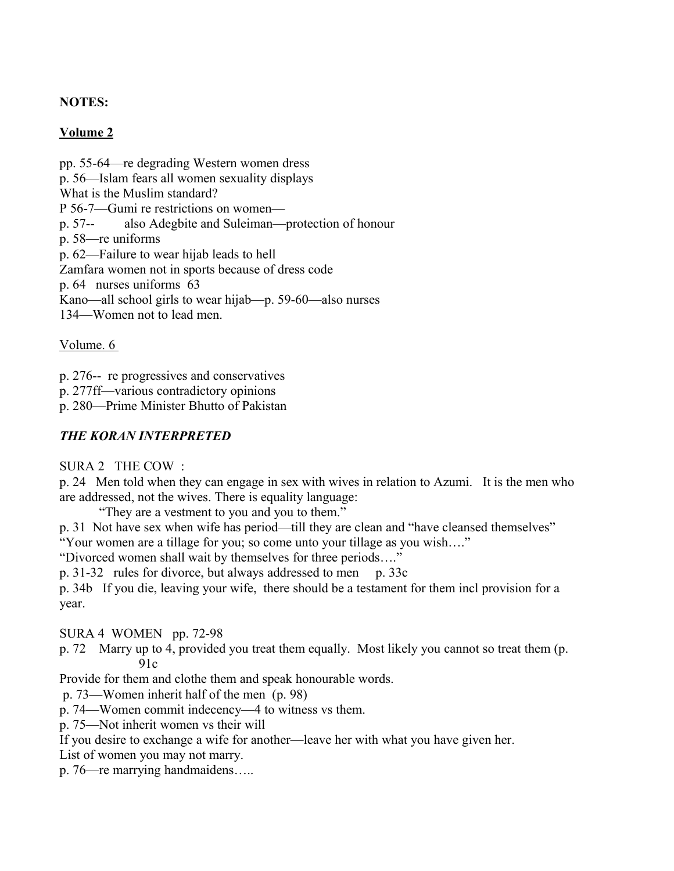## **NOTES:**

## **Volume 2**

pp. 55-64—re degrading Western women dress p. 56—Islam fears all women sexuality displays What is the Muslim standard? P 56-7—Gumi re restrictions on women p. 57-- also Adegbite and Suleiman—protection of honour p. 58—re uniforms p. 62—Failure to wear hijab leads to hell Zamfara women not in sports because of dress code p. 64 nurses uniforms 63 Kano—all school girls to wear hijab—p. 59-60—also nurses 134—Women not to lead men.

Volume. 6

p. 276-- re progressives and conservatives

p. 277ff—various contradictory opinions

p. 280—Prime Minister Bhutto of Pakistan

#### *THE KORAN INTERPRETED*

SURA 2 THE COW :

p. 24 Men told when they can engage in sex with wives in relation to Azumi. It is the men who are addressed, not the wives. There is equality language:

"They are a vestment to you and you to them."

p. 31 Not have sex when wife has period—till they are clean and "have cleansed themselves" "Your women are a tillage for you; so come unto your tillage as you wish…."

"Divorced women shall wait by themselves for three periods…."

p. 31-32 rules for divorce, but always addressed to men p. 33c

p. 34b If you die, leaving your wife, there should be a testament for them incl provision for a year.

SURA 4 WOMEN pp. 72-98

p. 72 Marry up to 4, provided you treat them equally. Most likely you cannot so treat them (p.  $91c$ 

Provide for them and clothe them and speak honourable words.

p. 73—Women inherit half of the men (p. 98)

p. 74—Women commit indecency—4 to witness vs them.

p. 75—Not inherit women vs their will

If you desire to exchange a wife for another—leave her with what you have given her.

List of women you may not marry.

p. 76—re marrying handmaidens…..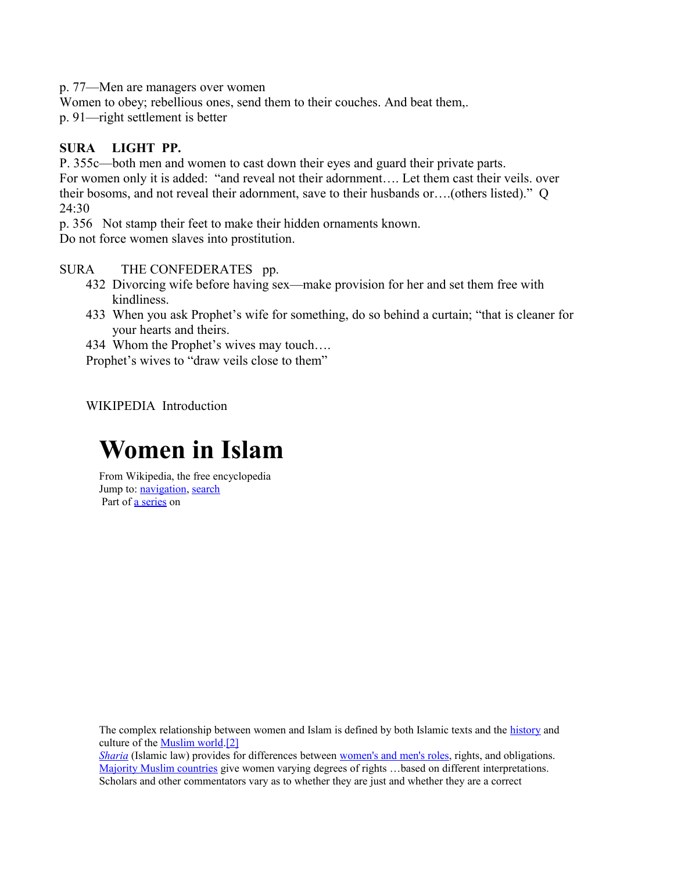p. 77—Men are managers over women

Women to obey; rebellious ones, send them to their couches. And beat them,.

p. 91—right settlement is better

## **SURA LIGHT PP.**

P. 355c—both men and women to cast down their eyes and guard their private parts. For women only it is added: "and reveal not their adornment…. Let them cast their veils. over their bosoms, and not reveal their adornment, save to their husbands or….(others listed)." Q 24:30

p. 356 Not stamp their feet to make their hidden ornaments known.

Do not force women slaves into prostitution.

## SURA THE CONFEDERATES pp.

- 432 Divorcing wife before having sex—make provision for her and set them free with kindliness.
- 433 When you ask Prophet's wife for something, do so behind a curtain; "that is cleaner for your hearts and theirs.

434 Whom the Prophet's wives may touch….

Prophet's wives to "draw veils close to them"

WIKIPEDIA Introduction

# **Women in Islam**

<span id="page-3-2"></span><span id="page-3-1"></span>From Wikipedia, the free encyclopedia Jump to: [navigation,](#page-3-2) [search](#page-3-1) Part of **a** series on

The complex relationship between women and Islam is defined by both Islamic texts and the [history](file:///wiki/History_of_Islam) and culture of the [Muslim world.](file:///wiki/Muslim_world)[\[2\]](#page-3-0)

<span id="page-3-0"></span>*[Sharia](file:///wiki/Sharia)* (Islamic law) provides for differences between [women's and men's roles,](file:///wiki/Gender_roles_in_Islam) rights, and obligations. [Majority Muslim countries](file:///wiki/Majority_Muslim_countries) give women varying degrees of rights ...based on different interpretations. Scholars and other commentators vary as to whether they are just and whether they are a correct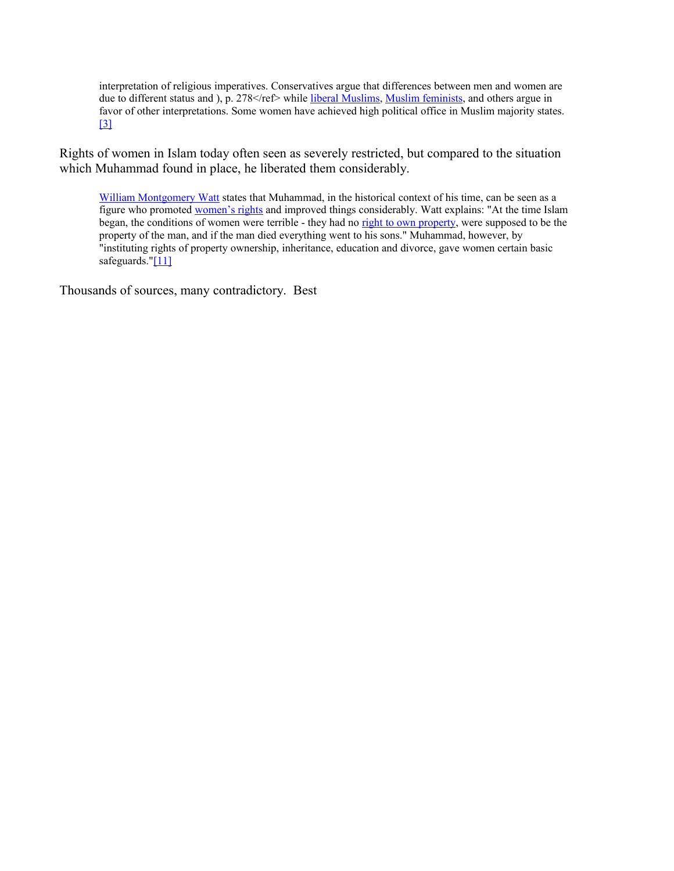<span id="page-4-1"></span>interpretation of religious imperatives. Conservatives argue that differences between men and women are due to different status and ), p. 278 </ref> while [liberal Muslims,](file:///wiki/Liberal_movements_within_Islam) [Muslim feminists,](file:///wiki/Islamic_feminism) and others argue in favor of other interpretations. Some women have achieved high political office in Muslim majority states. [\[3\]](#page-4-1)

Rights of women in Islam today often seen as severely restricted, but compared to the situation which Muhammad found in place, he liberated them considerably.

<span id="page-4-0"></span>[William Montgomery Watt](file:///wiki/William_Montgomery_Watt) states that Muhammad, in the historical context of his time, can be seen as a figure who promoted [women's rights](file:///wiki/Women%E2%80%99s_rights) and improved things considerably. Watt explains: "At the time Islam began, the conditions of women were terrible - they had no [right to own property,](file:///wiki/Property) were supposed to be the property of the man, and if the man died everything went to his sons." Muhammad, however, by "instituting rights of property ownership, inheritance, education and divorce, gave women certain basic safeguards." $[11]$ 

Thousands of sources, many contradictory. Best